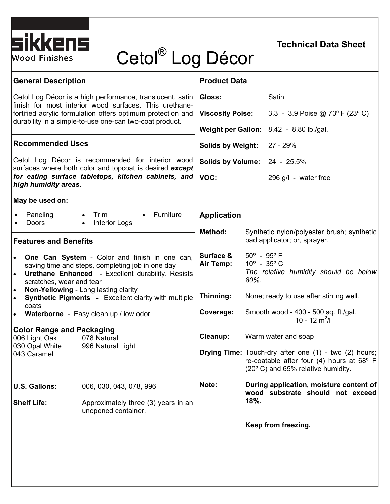

#### **Technical Data Sheet**

# Cetol® Log Décor

| <b>General Description</b>                                                                                                                                                                                                                                                                                                                       |                                                            | <b>Product Data</b>                     |                                                                                                                                                                                                                                    |                                                                             |  |
|--------------------------------------------------------------------------------------------------------------------------------------------------------------------------------------------------------------------------------------------------------------------------------------------------------------------------------------------------|------------------------------------------------------------|-----------------------------------------|------------------------------------------------------------------------------------------------------------------------------------------------------------------------------------------------------------------------------------|-----------------------------------------------------------------------------|--|
| Cetol Log Décor is a high performance, translucent, satin<br>finish for most interior wood surfaces. This urethane-<br>fortified acrylic formulation offers optimum protection and<br>durability in a simple-to-use one-can two-coat product.                                                                                                    |                                                            | Gloss:                                  |                                                                                                                                                                                                                                    | Satin                                                                       |  |
|                                                                                                                                                                                                                                                                                                                                                  |                                                            | <b>Viscosity Poise:</b>                 |                                                                                                                                                                                                                                    | 3.3 - 3.9 Poise @ 73° F (23° C)                                             |  |
|                                                                                                                                                                                                                                                                                                                                                  |                                                            | Weight per Gallon: 8.42 - 8.80 lb./gal. |                                                                                                                                                                                                                                    |                                                                             |  |
| <b>Recommended Uses</b>                                                                                                                                                                                                                                                                                                                          |                                                            | <b>Solids by Weight:</b>                |                                                                                                                                                                                                                                    | 27 - 29%                                                                    |  |
| Cetol Log Décor is recommended for interior wood<br>surfaces where both color and topcoat is desired except<br>for eating surface tabletops, kitchen cabinets, and<br>high humidity areas.                                                                                                                                                       |                                                            | Solids by Volume: 24 - 25.5%            |                                                                                                                                                                                                                                    |                                                                             |  |
|                                                                                                                                                                                                                                                                                                                                                  |                                                            | VOC:                                    |                                                                                                                                                                                                                                    | 296 g/l - water free                                                        |  |
| May be used on:                                                                                                                                                                                                                                                                                                                                  |                                                            |                                         |                                                                                                                                                                                                                                    |                                                                             |  |
| • Furniture<br>Paneling<br>Trim<br>$\bullet$<br><b>Doors</b><br><b>Interior Logs</b><br>$\bullet$                                                                                                                                                                                                                                                |                                                            | <b>Application</b>                      |                                                                                                                                                                                                                                    |                                                                             |  |
| <b>Features and Benefits</b>                                                                                                                                                                                                                                                                                                                     |                                                            | Method:                                 | Synthetic nylon/polyester brush; synthetic<br>pad applicator; or, sprayer.                                                                                                                                                         |                                                                             |  |
| One Can System - Color and finish in one can,<br>saving time and steps, completing job in one day<br><b>Urethane Enhanced</b> - Excellent durability. Resists<br>$\bullet$<br>scratches, wear and tear<br>Non-Yellowing - Long lasting clarity<br>$\bullet$<br><b>Synthetic Pigments - Excellent clarity with multiple</b><br>$\bullet$<br>coats |                                                            | Surface &<br>Air Temp:                  | $50^{\circ}$ - $95^{\circ}$ F<br>$10^{\circ}$ - 35 $^{\circ}$ C<br>The relative humidity should be below<br>80%.<br>None; ready to use after stirring well.<br>Smooth wood - 400 - 500 sq. ft./gal.<br>$10 - 12$ m <sup>2</sup> /l |                                                                             |  |
|                                                                                                                                                                                                                                                                                                                                                  |                                                            | Thinning:                               |                                                                                                                                                                                                                                    |                                                                             |  |
| Waterborne - Easy clean up / low odor                                                                                                                                                                                                                                                                                                            |                                                            | Coverage:                               |                                                                                                                                                                                                                                    |                                                                             |  |
| <b>Color Range and Packaging</b><br>006 Light Oak<br>030 Opal White                                                                                                                                                                                                                                                                              | 078 Natural<br>996 Natural Light                           | Cleanup:                                | Warm water and soap<br><b>Drying Time:</b> Touch-dry after one (1) - two (2) hours;<br>re-coatable after four (4) hours at 68° F<br>(20° C) and 65% relative humidity.                                                             |                                                                             |  |
| 043 Caramel                                                                                                                                                                                                                                                                                                                                      |                                                            |                                         |                                                                                                                                                                                                                                    |                                                                             |  |
| <b>U.S. Gallons:</b>                                                                                                                                                                                                                                                                                                                             | 006, 030, 043, 078, 996                                    | Note:                                   |                                                                                                                                                                                                                                    | During application, moisture content of<br>wood substrate should not exceed |  |
| <b>Shelf Life:</b>                                                                                                                                                                                                                                                                                                                               | Approximately three (3) years in an<br>unopened container. |                                         | $18%$ .                                                                                                                                                                                                                            |                                                                             |  |
|                                                                                                                                                                                                                                                                                                                                                  |                                                            |                                         |                                                                                                                                                                                                                                    | Keep from freezing.                                                         |  |
|                                                                                                                                                                                                                                                                                                                                                  |                                                            |                                         |                                                                                                                                                                                                                                    |                                                                             |  |
|                                                                                                                                                                                                                                                                                                                                                  |                                                            |                                         |                                                                                                                                                                                                                                    |                                                                             |  |
|                                                                                                                                                                                                                                                                                                                                                  |                                                            |                                         |                                                                                                                                                                                                                                    |                                                                             |  |
|                                                                                                                                                                                                                                                                                                                                                  |                                                            |                                         |                                                                                                                                                                                                                                    |                                                                             |  |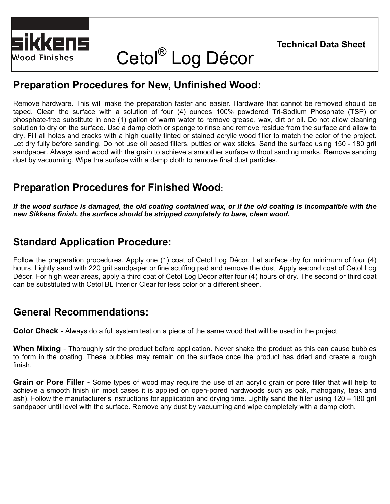



## Cetol® Log Décor

#### **Preparation Procedures for New, Unfinished Wood:**

Remove hardware. This will make the preparation faster and easier. Hardware that cannot be removed should be taped. Clean the surface with a solution of four (4) ounces 100% powdered Tri-Sodium Phosphate (TSP) or phosphate-free substitute in one (1) gallon of warm water to remove grease, wax, dirt or oil. Do not allow cleaning solution to dry on the surface. Use a damp cloth or sponge to rinse and remove residue from the surface and allow to dry. Fill all holes and cracks with a high quality tinted or stained acrylic wood filler to match the color of the project. Let dry fully before sanding. Do not use oil based fillers, putties or wax sticks. Sand the surface using 150 - 180 grit sandpaper. Always sand wood with the grain to achieve a smoother surface without sanding marks. Remove sanding dust by vacuuming. Wipe the surface with a damp cloth to remove final dust particles.

### **Preparation Procedures for Finished Wood:**

*If the wood surface is damaged, the old coating contained wax, or if the old coating is incompatible with the new Sikkens finish, the surface should be stripped completely to bare, clean wood.* 

### **Standard Application Procedure:**

Follow the preparation procedures. Apply one (1) coat of Cetol Log Décor. Let surface dry for minimum of four (4) hours. Lightly sand with 220 grit sandpaper or fine scuffing pad and remove the dust. Apply second coat of Cetol Log Décor. For high wear areas, apply a third coat of Cetol Log Décor after four (4) hours of dry. The second or third coat can be substituted with Cetol BL Interior Clear for less color or a different sheen.

### **General Recommendations:**

**Color Check** - Always do a full system test on a piece of the same wood that will be used in the project.

**When Mixing** - Thoroughly stir the product before application. Never shake the product as this can cause bubbles to form in the coating. These bubbles may remain on the surface once the product has dried and create a rough finish.

**Grain or Pore Filler** - Some types of wood may require the use of an acrylic grain or pore filler that will help to achieve a smooth finish (in most cases it is applied on open-pored hardwoods such as oak, mahogany, teak and ash). Follow the manufacturer's instructions for application and drying time. Lightly sand the filler using 120 – 180 grit sandpaper until level with the surface. Remove any dust by vacuuming and wipe completely with a damp cloth.